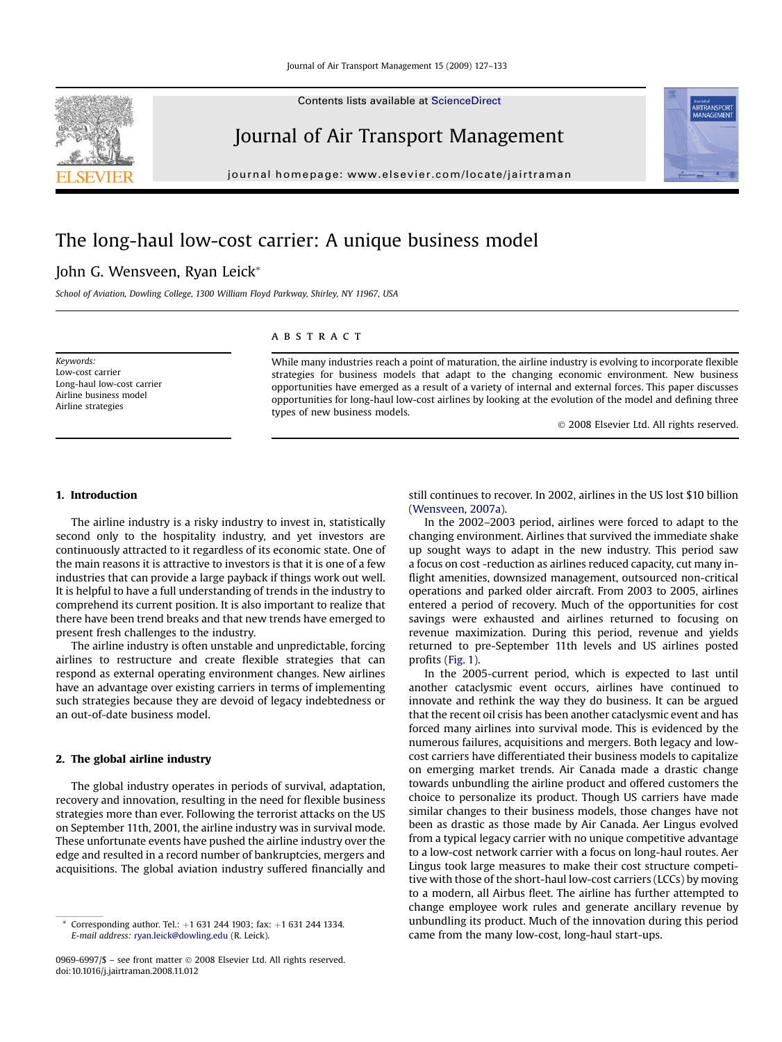Contents lists available at [ScienceDirect](www.sciencedirect.com/science/journal/09696997)

### Journal of Air Transport Management

journal homepage: [www.elsevier.com/locate/jairtraman](http://www.elsevier.com/locate/jairtraman)

## The long-haul low-cost carrier: A unique business model

### John G. Wensveen, Ryan Leick\*

School of Aviation, Dowling College, 1300 William Floyd Parkway, Shirley, NY 11967, USA

Keywords: Low-cost carrier Long-haul low-cost carrier Airline business model Airline strategies

#### **ABSTRACT**

While many industries reach a point of maturation, the airline industry is evolving to incorporate flexible strategies for business models that adapt to the changing economic environment. New business opportunities have emerged as a result of a variety of internal and external forces. This paper discusses opportunities for long-haul low-cost airlines by looking at the evolution of the model and defining three types of new business models.

- 2008 Elsevier Ltd. All rights reserved.

#### 1. Introduction

The airline industry is a risky industry to invest in, statistically second only to the hospitality industry, and yet investors are continuously attracted to it regardless of its economic state. One of the main reasons it is attractive to investors is that it is one of a few industries that can provide a large payback if things work out well. It is helpful to have a full understanding of trends in the industry to comprehend its current position. It is also important to realize that there have been trend breaks and that new trends have emerged to present fresh challenges to the industry.

The airline industry is often unstable and unpredictable, forcing airlines to restructure and create flexible strategies that can respond as external operating environment changes. New airlines have an advantage over existing carriers in terms of implementing such strategies because they are devoid of legacy indebtedness or an out-of-date business model.

#### 2. The global airline industry

The global industry operates in periods of survival, adaptation, recovery and innovation, resulting in the need for flexible business strategies more than ever. Following the terrorist attacks on the US on September 11th, 2001, the airline industry was in survival mode. These unfortunate events have pushed the airline industry over the edge and resulted in a record number of bankruptcies, mergers and acquisitions. The global aviation industry suffered financially and

0969-6997/\$ – see front matter © 2008 Elsevier Ltd. All rights reserved. doi:10.1016/j.jairtraman.2008.11.012

still continues to recover. In 2002, airlines in the US lost \$10 billion ([Wensveen, 2007a](#page--1-0)).

In the 2002–2003 period, airlines were forced to adapt to the changing environment. Airlines that survived the immediate shake up sought ways to adapt in the new industry. This period saw a focus on cost -reduction as airlines reduced capacity, cut many inflight amenities, downsized management, outsourced non-critical operations and parked older aircraft. From 2003 to 2005, airlines entered a period of recovery. Much of the opportunities for cost savings were exhausted and airlines returned to focusing on revenue maximization. During this period, revenue and yields returned to pre-September 11th levels and US airlines posted profits ([Fig. 1](#page-1-0)).

In the 2005-current period, which is expected to last until another cataclysmic event occurs, airlines have continued to innovate and rethink the way they do business. It can be argued that the recent oil crisis has been another cataclysmic event and has forced many airlines into survival mode. This is evidenced by the numerous failures, acquisitions and mergers. Both legacy and lowcost carriers have differentiated their business models to capitalize on emerging market trends. Air Canada made a drastic change towards unbundling the airline product and offered customers the choice to personalize its product. Though US carriers have made similar changes to their business models, those changes have not been as drastic as those made by Air Canada. Aer Lingus evolved from a typical legacy carrier with no unique competitive advantage to a low-cost network carrier with a focus on long-haul routes. Aer Lingus took large measures to make their cost structure competitive with those of the short-haul low-cost carriers (LCCs) by moving to a modern, all Airbus fleet. The airline has further attempted to change employee work rules and generate ancillary revenue by unbundling its product. Much of the innovation during this period came from the many low-cost, long-haul start-ups.





Corresponding author. Tel.: +1 631 244 1903; fax: +1 631 244 1334. E-mail address: [ryan.leick@dowling.edu](mailto:ryan.leick@dowling.edu) (R. Leick).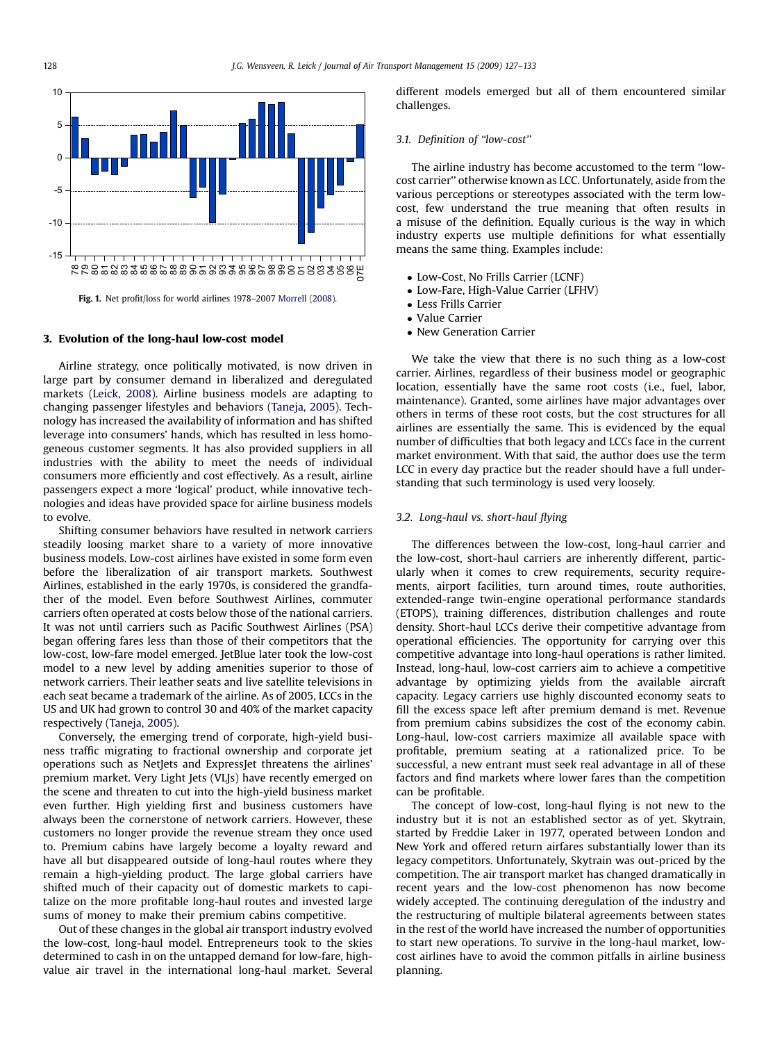<span id="page-1-0"></span>

Fig. 1. Net profit/loss for world airlines 1978–2007 [Morrell \(2008\)](#page--1-0).

#### 3. Evolution of the long-haul low-cost model

Airline strategy, once politically motivated, is now driven in large part by consumer demand in liberalized and deregulated markets ([Leick, 2008](#page--1-0)). Airline business models are adapting to changing passenger lifestyles and behaviors ([Taneja, 2005](#page--1-0)). Technology has increased the availability of information and has shifted leverage into consumers' hands, which has resulted in less homogeneous customer segments. It has also provided suppliers in all industries with the ability to meet the needs of individual consumers more efficiently and cost effectively. As a result, airline passengers expect a more 'logical' product, while innovative technologies and ideas have provided space for airline business models to evolve.

Shifting consumer behaviors have resulted in network carriers steadily loosing market share to a variety of more innovative business models. Low-cost airlines have existed in some form even before the liberalization of air transport markets. Southwest Airlines, established in the early 1970s, is considered the grandfather of the model. Even before Southwest Airlines, commuter carriers often operated at costs below those of the national carriers. It was not until carriers such as Pacific Southwest Airlines (PSA) began offering fares less than those of their competitors that the low-cost, low-fare model emerged. JetBlue later took the low-cost model to a new level by adding amenities superior to those of network carriers. Their leather seats and live satellite televisions in each seat became a trademark of the airline. As of 2005, LCCs in the US and UK had grown to control 30 and 40% of the market capacity respectively ([Taneja, 2005\)](#page--1-0).

Conversely, the emerging trend of corporate, high-yield business traffic migrating to fractional ownership and corporate jet operations such as NetJets and ExpressJet threatens the airlines' premium market. Very Light Jets (VLJs) have recently emerged on the scene and threaten to cut into the high-yield business market even further. High yielding first and business customers have always been the cornerstone of network carriers. However, these customers no longer provide the revenue stream they once used to. Premium cabins have largely become a loyalty reward and have all but disappeared outside of long-haul routes where they remain a high-yielding product. The large global carriers have shifted much of their capacity out of domestic markets to capitalize on the more profitable long-haul routes and invested large sums of money to make their premium cabins competitive.

Out of these changes in the global air transport industry evolved the low-cost, long-haul model. Entrepreneurs took to the skies determined to cash in on the untapped demand for low-fare, highvalue air travel in the international long-haul market. Several different models emerged but all of them encountered similar challenges.

#### 3.1. Definition of ''low-cost''

The airline industry has become accustomed to the term ''lowcost carrier'' otherwise known as LCC. Unfortunately, aside from the various perceptions or stereotypes associated with the term lowcost, few understand the true meaning that often results in a misuse of the definition. Equally curious is the way in which industry experts use multiple definitions for what essentially means the same thing. Examples include:

- Low-Cost, No Frills Carrier (LCNF)
- Low-Fare, High-Value Carrier (LFHV)
- Less Frills Carrier
- Value Carrier
- New Generation Carrier

We take the view that there is no such thing as a low-cost carrier. Airlines, regardless of their business model or geographic location, essentially have the same root costs (i.e., fuel, labor, maintenance). Granted, some airlines have major advantages over others in terms of these root costs, but the cost structures for all airlines are essentially the same. This is evidenced by the equal number of difficulties that both legacy and LCCs face in the current market environment. With that said, the author does use the term LCC in every day practice but the reader should have a full understanding that such terminology is used very loosely.

#### 3.2. Long-haul vs. short-haul flying

The differences between the low-cost, long-haul carrier and the low-cost, short-haul carriers are inherently different, particularly when it comes to crew requirements, security requirements, airport facilities, turn around times, route authorities, extended-range twin-engine operational performance standards (ETOPS), training differences, distribution challenges and route density. Short-haul LCCs derive their competitive advantage from operational efficiencies. The opportunity for carrying over this competitive advantage into long-haul operations is rather limited. Instead, long-haul, low-cost carriers aim to achieve a competitive advantage by optimizing yields from the available aircraft capacity. Legacy carriers use highly discounted economy seats to fill the excess space left after premium demand is met. Revenue from premium cabins subsidizes the cost of the economy cabin. Long-haul, low-cost carriers maximize all available space with profitable, premium seating at a rationalized price. To be successful, a new entrant must seek real advantage in all of these factors and find markets where lower fares than the competition can be profitable.

The concept of low-cost, long-haul flying is not new to the industry but it is not an established sector as of yet. Skytrain, started by Freddie Laker in 1977, operated between London and New York and offered return airfares substantially lower than its legacy competitors. Unfortunately, Skytrain was out-priced by the competition. The air transport market has changed dramatically in recent years and the low-cost phenomenon has now become widely accepted. The continuing deregulation of the industry and the restructuring of multiple bilateral agreements between states in the rest of the world have increased the number of opportunities to start new operations. To survive in the long-haul market, lowcost airlines have to avoid the common pitfalls in airline business planning.